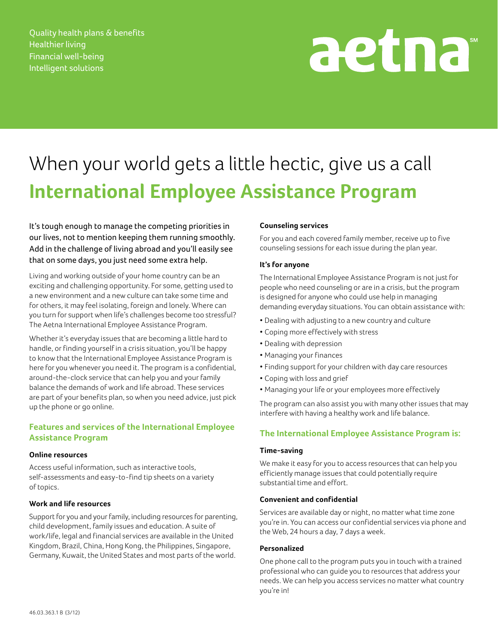Quality health plans & benefits Healthier living Financial well-being Intelligent solutions

# aetna

## When your world gets a little hectic, give us a call **International Employee Assistance Program**

It's tough enough to manage the competing priorities in our lives, not to mention keeping them running smoothly. Add in the challenge of living abroad and you'll easily see that on some days, you just need some extra help.

Living and working outside of your home country can be an exciting and challenging opportunity. For some, getting used to a new environment and a new culture can take some time and for others, it may feel isolating, foreign and lonely. Where can you turn for support when life's challenges become too stressful? The Aetna International Employee Assistance Program.

Whether it's everyday issues that are becoming a little hard to handle, or finding yourself in a crisis situation, you'll be happy to know that the International Employee Assistance Program is here for you whenever you need it. The program is a confidential, around-the-clock service that can help you and your family balance the demands of work and life abroad. These services are part of your benefits plan, so when you need advice, just pick up the phone or go online.

#### **Features and services of the International Employee Assistance Program**

#### **Online resources**

Access useful information, such as interactive tools, self-assessments and easy-to-find tip sheets on a variety of topics.

#### **Work and life resources**

Support for you and your family, including resources for parenting, child development, family issues and education. A suite of work/life, legal and financial services are available in the United Kingdom, Brazil, China, Hong Kong, the Philippines, Singapore, Germany, Kuwait, the United States and most parts of the world.

#### **Counseling services**

For you and each covered family member, receive up to five counseling sessions for each issue during the plan year.

#### **It's for anyone**

The International Employee Assistance Program is not just for people who need counseling or are in a crisis, but the program is designed for anyone who could use help in managing demanding everyday situations. You can obtain assistance with:

- • Dealing with adjusting to a new country and culture
- • Coping more effectively with stress
- Dealing with depression
- • Managing your finances
- • Finding support for your children with day care resources
- • Coping with loss and grief
- Managing your life or your employees more effectively

The program can also assist you with many other issues that may interfere with having a healthy work and life balance.

#### **The International Employee Assistance Program is:**

#### **Time-saving**

We make it easy for you to access resources that can help you efficiently manage issues that could potentially require substantial time and effort.

#### **Convenient and confidential**

Services are available day or night, no matter what time zone you're in. You can access our confidential services via phone and the Web, 24 hours a day, 7 days a week.

#### **Personalized**

One phone call to the program puts you in touch with a trained professional who can guide you to resources that address your needs. We can help you access services no matter what country you're in!